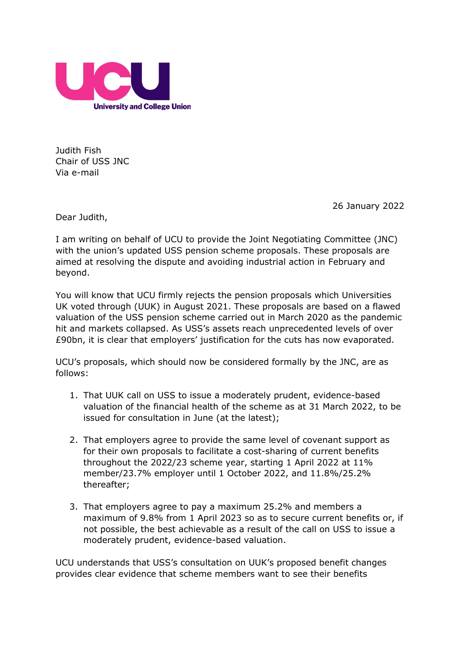

Judith Fish Chair of USS JNC Via e-mail

26 January 2022

Dear Judith,

I am writing on behalf of UCU to provide the Joint Negotiating Committee (JNC) with the union's updated USS pension scheme proposals. These proposals are aimed at resolving the dispute and avoiding industrial action in February and beyond.

You will know that UCU firmly rejects the pension proposals which Universities UK voted through (UUK) in August 2021. These proposals are based on a flawed valuation of the USS pension scheme carried out in March 2020 as the pandemic hit and markets collapsed. As USS's assets reach unprecedented levels of over £90bn, it is clear that employers' justification for the cuts has now evaporated.

UCU's proposals, which should now be considered formally by the JNC, are as follows:

- 1. That UUK call on USS to issue a moderately prudent, evidence-based valuation of the financial health of the scheme as at 31 March 2022, to be issued for consultation in June (at the latest);
- 2. That employers agree to provide the same level of covenant support as for their own proposals to facilitate a cost-sharing of current benefits throughout the 2022/23 scheme year, starting 1 April 2022 at 11% member/23.7% employer until 1 October 2022, and 11.8%/25.2% thereafter;
- 3. That employers agree to pay a maximum 25.2% and members a maximum of 9.8% from 1 April 2023 so as to secure current benefits or, if not possible, the best achievable as a result of the call on USS to issue a moderately prudent, evidence-based valuation.

UCU understands that USS's consultation on UUK's proposed benefit changes provides clear evidence that scheme members want to see their benefits